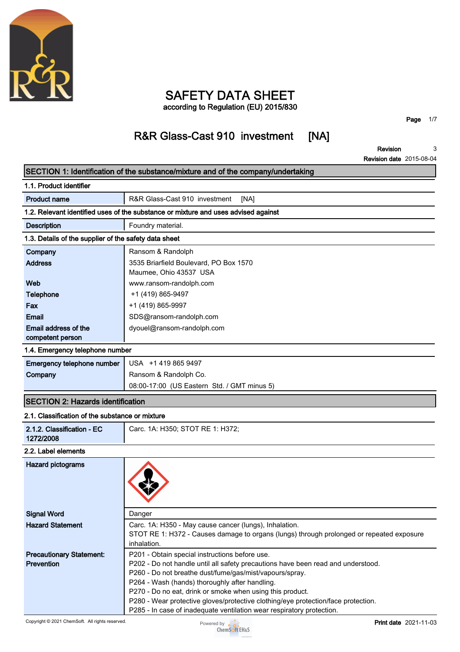

# **SAFETY DATA SHEET**

**according to Regulation (EU) 2015/830**

# **R&R Glass-Cast 910 investment [NA]**

**Page 1/7**

#### **Revision Revision date 2015-08-04 3**

|                                                       | SECTION 1: Identification of the substance/mixture and of the company/undertaking                           |
|-------------------------------------------------------|-------------------------------------------------------------------------------------------------------------|
| 1.1. Product identifier                               |                                                                                                             |
| <b>Product name</b>                                   | R&R Glass-Cast 910 investment<br>[NA]                                                                       |
|                                                       | 1.2. Relevant identified uses of the substance or mixture and uses advised against                          |
| <b>Description</b>                                    | Foundry material.                                                                                           |
| 1.3. Details of the supplier of the safety data sheet |                                                                                                             |
| Company                                               | Ransom & Randolph                                                                                           |
| <b>Address</b>                                        | 3535 Briarfield Boulevard, PO Box 1570<br>Maumee, Ohio 43537 USA                                            |
| Web                                                   | www.ransom-randolph.com                                                                                     |
| <b>Telephone</b>                                      | +1 (419) 865-9497                                                                                           |
| Fax                                                   | +1 (419) 865-9997                                                                                           |
| Email                                                 | SDS@ransom-randolph.com                                                                                     |
| Email address of the<br>competent person              | dyouel@ransom-randolph.com                                                                                  |
| 1.4. Emergency telephone number                       |                                                                                                             |
| Emergency telephone number                            | USA +1 419 865 9497                                                                                         |
| Company                                               | Ransom & Randolph Co.                                                                                       |
|                                                       | 08:00-17:00 (US Eastern Std. / GMT minus 5)                                                                 |
| <b>SECTION 2: Hazards identification</b>              |                                                                                                             |
| 2.1. Classification of the substance or mixture       |                                                                                                             |
| 2.1.2. Classification - EC<br>1272/2008               | Carc. 1A: H350; STOT RE 1: H372;                                                                            |
| 2.2. Label elements                                   |                                                                                                             |
| <b>Hazard pictograms</b>                              |                                                                                                             |
| <b>Signal Word</b>                                    | Danger                                                                                                      |
| <b>Hazard Statement</b>                               | Carc. 1A: H350 - May cause cancer (lungs), Inhalation.                                                      |
|                                                       | STOT RE 1: H372 - Causes damage to organs (lungs) through prolonged or repeated exposure<br>inhalation.     |
| <b>Precautionary Statement:</b>                       | P201 - Obtain special instructions before use.                                                              |
| <b>Prevention</b>                                     | P202 - Do not handle until all safety precautions have been read and understood.                            |
|                                                       | P260 - Do not breathe dust/fume/gas/mist/vapours/spray.                                                     |
|                                                       | P264 - Wash (hands) thoroughly after handling.<br>P270 - Do no eat, drink or smoke when using this product. |
|                                                       | P280 - Wear protective gloves/protective clothing/eye protection/face protection.                           |
|                                                       | P285 - In case of inadequate ventilation wear respiratory protection.                                       |

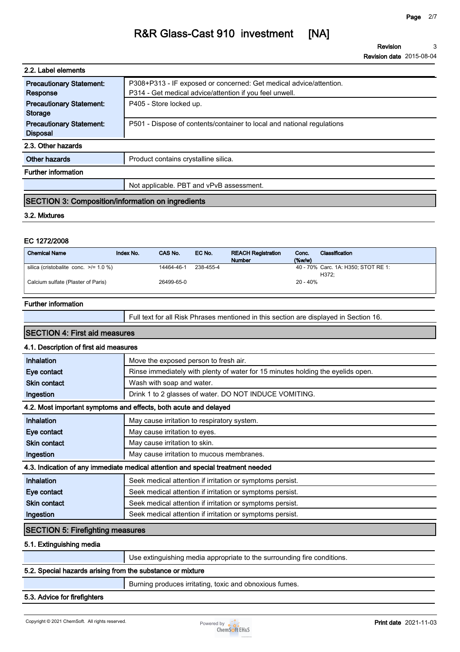**Revision Revision date 2015-08-04 3**

| 2.2. Label elements             |                                                                        |
|---------------------------------|------------------------------------------------------------------------|
| <b>Precautionary Statement:</b> | P308+P313 - IF exposed or concerned: Get medical advice/attention.     |
| Response                        | P314 - Get medical advice/attention if you feel unwell.                |
| <b>Precautionary Statement:</b> | P405 - Store locked up.                                                |
| <b>Storage</b>                  |                                                                        |
| <b>Precautionary Statement:</b> | P501 - Dispose of contents/container to local and national regulations |
| <b>Disposal</b>                 |                                                                        |
| 2.3. Other hazards              |                                                                        |
| <b>Other hazards</b>            | Product contains crystalline silica.                                   |
| <b>Further information</b>      |                                                                        |
|                                 | Not applicable. PBT and vPvB assessment.                               |
|                                 |                                                                        |

# **SECTION 3: Composition/information on ingredients**

#### **3.2. Mixtures**

### **EC 1272/2008**

| <b>Chemical Name</b>                       | Index No. | CAS No.    | EC No.    | <b>REACH Registration</b><br><b>Number</b> | Conc.<br>(%w/w) | Classification                               |
|--------------------------------------------|-----------|------------|-----------|--------------------------------------------|-----------------|----------------------------------------------|
| silica (cristobalite conc. $\ge$ /= 1.0 %) |           | 14464-46-1 | 238-455-4 |                                            |                 | 40 - 70% Carc. 1A: H350; STOT RE 1:<br>H372: |
| Calcium sulfate (Plaster of Paris)         |           | 26499-65-0 |           |                                            | $20 - 40%$      |                                              |

#### **Further information**

**Full text for all Risk Phrases mentioned in this section are displayed in Section 16.**

### **SECTION 4: First aid measures**

#### **4.1. Description of first aid measures**

| Inhalation                              | Move the exposed person to fresh air.                                           |
|-----------------------------------------|---------------------------------------------------------------------------------|
| Eye contact                             | Rinse immediately with plenty of water for 15 minutes holding the eyelids open. |
| <b>Skin contact</b>                     | Wash with soap and water.                                                       |
| Ingestion                               | Drink 1 to 2 glasses of water. DO NOT INDUCE VOMITING.                          |
|                                         | 4.2. Most important symptoms and effects, both acute and delayed                |
| <b>Inhalation</b>                       | May cause irritation to respiratory system.                                     |
| Eye contact                             | May cause irritation to eyes.                                                   |
| <b>Skin contact</b>                     | May cause irritation to skin.                                                   |
| Ingestion                               | May cause irritation to mucous membranes.                                       |
|                                         | 4.3. Indication of any immediate medical attention and special treatment needed |
| Inhalation                              | Seek medical attention if irritation or symptoms persist.                       |
| Eye contact                             | Seek medical attention if irritation or symptoms persist.                       |
| <b>Skin contact</b>                     | Seek medical attention if irritation or symptoms persist.                       |
| Ingestion                               | Seek medical attention if irritation or symptoms persist.                       |
| <b>SECTION 5: Firefighting measures</b> |                                                                                 |
| E 4 Evilandablar madla                  |                                                                                 |

#### **5.1. Extinguishing media**

**Use extinguishing media appropriate to the surrounding fire conditions.**

## **5.2. Special hazards arising from the substance or mixture**

**Burning produces irritating, toxic and obnoxious fumes.**

#### **5.3. Advice for firefighters**

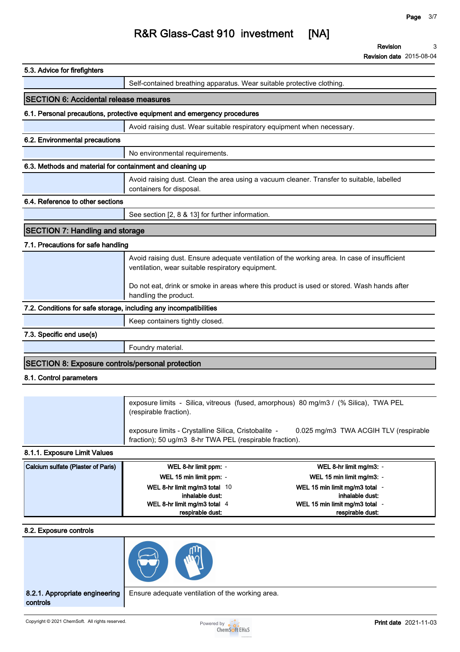**Revision Revision date 2015-08-04 3**

| 5.3. Advice for firefighters                                      |                                                                                                                                                   |
|-------------------------------------------------------------------|---------------------------------------------------------------------------------------------------------------------------------------------------|
|                                                                   | Self-contained breathing apparatus. Wear suitable protective clothing.                                                                            |
| <b>SECTION 6: Accidental release measures</b>                     |                                                                                                                                                   |
|                                                                   | 6.1. Personal precautions, protective equipment and emergency procedures                                                                          |
|                                                                   | Avoid raising dust. Wear suitable respiratory equipment when necessary.                                                                           |
| 6.2. Environmental precautions                                    |                                                                                                                                                   |
|                                                                   | No environmental requirements.                                                                                                                    |
| 6.3. Methods and material for containment and cleaning up         |                                                                                                                                                   |
|                                                                   | Avoid raising dust. Clean the area using a vacuum cleaner. Transfer to suitable, labelled<br>containers for disposal.                             |
| 6.4. Reference to other sections                                  |                                                                                                                                                   |
|                                                                   | See section [2, 8 & 13] for further information.                                                                                                  |
| <b>SECTION 7: Handling and storage</b>                            |                                                                                                                                                   |
| 7.1. Precautions for safe handling                                |                                                                                                                                                   |
|                                                                   | Avoid raising dust. Ensure adequate ventilation of the working area. In case of insufficient<br>ventilation, wear suitable respiratory equipment. |
|                                                                   | Do not eat, drink or smoke in areas where this product is used or stored. Wash hands after<br>handling the product.                               |
| 7.2. Conditions for safe storage, including any incompatibilities |                                                                                                                                                   |
|                                                                   | Keep containers tightly closed.                                                                                                                   |
| 7.3. Specific end use(s)                                          |                                                                                                                                                   |
|                                                                   | Foundry material.                                                                                                                                 |
| <b>SECTION 8: Exposure controls/personal protection</b>           |                                                                                                                                                   |
| 8.1. Control parameters                                           |                                                                                                                                                   |
|                                                                   |                                                                                                                                                   |
|                                                                   | exposure limits - Silica, vitreous (fused, amorphous) 80 mg/m3 / (% Silica), TWA PEL<br>(respirable fraction).                                    |
|                                                                   | exposure limits - Crystalline Silica, Cristobalite -<br>0.025 mg/m3 TWA ACGIH TLV (respirable                                                     |

### **8.1.1. Exposure Limit Values**

| Calcium sulfate (Plaster of Paris) | WEL 8-hr limit ppm: -          | WEL 8-hr limit mg/m3: -        |
|------------------------------------|--------------------------------|--------------------------------|
|                                    | WEL 15 min limit ppm: -        | WEL 15 min limit mg/m3: -      |
|                                    | WEL 8-hr limit mg/m3 total 10  | WEL 15 min limit mg/m3 total - |
|                                    | inhalable dust:                | inhalable dust:                |
|                                    | WEL 8-hr limit mg/m3 total $4$ | WEL 15 min limit mg/m3 total   |
|                                    | respirable dust:               | respirable dust:               |

**fraction); 50 ug/m3 8-hr TWA PEL (respirable fraction).**

#### **8.2. Exposure controls**



**8.2.1. Appropriate engineering controls**

**Ensure adequate ventilation of the working area.**

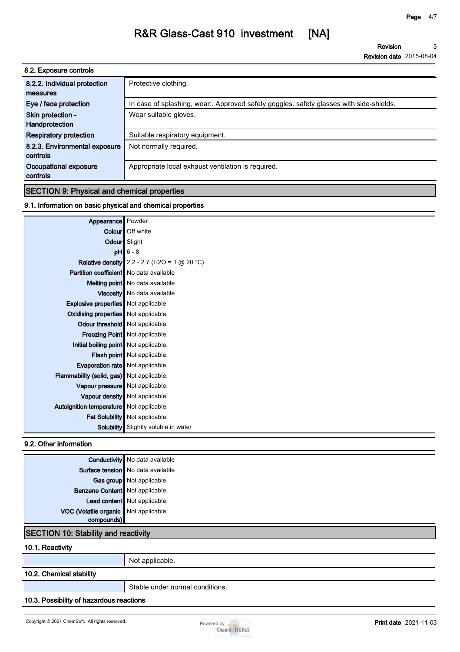**Revision Revision date 2015-08-04 3**

| 8.2. Exposure controls        |                                                                                        |
|-------------------------------|----------------------------------------------------------------------------------------|
| 8.2.2. Individual protection  | Protective clothing.                                                                   |
| measures                      |                                                                                        |
| Eye / face protection         | In case of splashing, wear. Approved safety goggles. safety glasses with side-shields. |
| Skin protection -             | Wear suitable gloves.                                                                  |
| Handprotection                |                                                                                        |
| <b>Respiratory protection</b> | Suitable respiratory equipment.                                                        |
| 8.2.3. Environmental exposure | Not normally required.                                                                 |
| controls                      |                                                                                        |
| Occupational exposure         | Appropriate local exhaust ventilation is required.                                     |
| controls                      |                                                                                        |

# **SECTION 9: Physical and chemical properties**

## **9.1. Information on basic physical and chemical properties**

| Appearance                                  | Powder                                                |
|---------------------------------------------|-------------------------------------------------------|
|                                             | <b>Colour</b> Off white                               |
| Odour Slight                                |                                                       |
| pH                                          | $6 - 8$                                               |
|                                             | <b>Relative density</b> 2.2 - 2.7 (H2O = 1 $@$ 20 °C) |
| Partition coefficient   No data available   |                                                       |
|                                             | Melting point   No data available                     |
|                                             | Viscosity   No data available                         |
| <b>Explosive properties</b> Not applicable. |                                                       |
| Oxidising properties   Not applicable.      |                                                       |
| Odour threshold   Not applicable.           |                                                       |
|                                             | Freezing Point   Not applicable.                      |
| Initial boiling point Not applicable.       |                                                       |
|                                             | Flash point Not applicable.                           |
| Evaporation rate   Not applicable.          |                                                       |
| Flammability (solid, gas) Not applicable.   |                                                       |
| Vapour pressure   Not applicable.           |                                                       |
|                                             | Vapour density   Not applicable.                      |
| Autoignition temperature   Not applicable.  |                                                       |
|                                             | Fat Solubility   Not applicable.                      |
| <b>Solubility</b>                           | Slightly soluble in water                             |

### **9.2. Other information**

|                                             | <b>Conductivity</b> No data available    |
|---------------------------------------------|------------------------------------------|
|                                             | <b>Surface tension</b> No data available |
|                                             | Gas group Not applicable.                |
| Benzene Content Not applicable.             |                                          |
|                                             | Lead content   Not applicable.           |
| VOC (Volatile organic Not applicable.       |                                          |
| compounds)                                  |                                          |
| <b>SECTION 10: Stability and reactivity</b> |                                          |

#### **10.1. Reactivity**

**Not applicable.**

## **10.2. Chemical stability**

**Stable under normal conditions.**

## **10.3. Possibility of hazardous reactions**

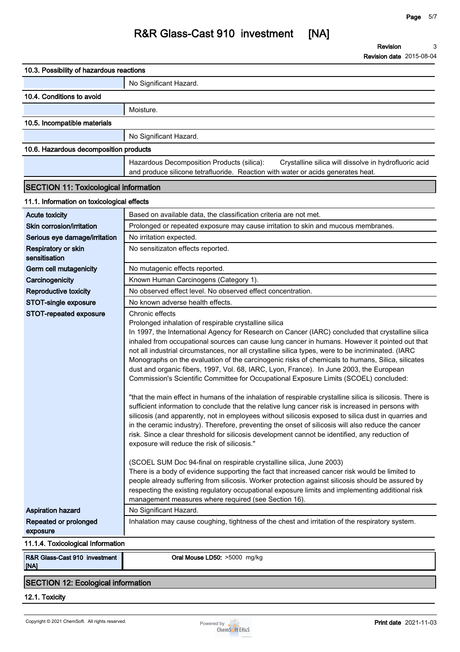| 10.3. Possibility of hazardous reactions                   |                                                                                                                                                                                                                                                                                                                                                                                                                                                                                                                                                                                                                                                                                                                                                                                                                                                                                                                                                                                                                                                                                                                                                                                                                                                                                                                                                                                                                                                                                                                                                                                                                                                                                                             |
|------------------------------------------------------------|-------------------------------------------------------------------------------------------------------------------------------------------------------------------------------------------------------------------------------------------------------------------------------------------------------------------------------------------------------------------------------------------------------------------------------------------------------------------------------------------------------------------------------------------------------------------------------------------------------------------------------------------------------------------------------------------------------------------------------------------------------------------------------------------------------------------------------------------------------------------------------------------------------------------------------------------------------------------------------------------------------------------------------------------------------------------------------------------------------------------------------------------------------------------------------------------------------------------------------------------------------------------------------------------------------------------------------------------------------------------------------------------------------------------------------------------------------------------------------------------------------------------------------------------------------------------------------------------------------------------------------------------------------------------------------------------------------------|
|                                                            | No Significant Hazard.                                                                                                                                                                                                                                                                                                                                                                                                                                                                                                                                                                                                                                                                                                                                                                                                                                                                                                                                                                                                                                                                                                                                                                                                                                                                                                                                                                                                                                                                                                                                                                                                                                                                                      |
| 10.4. Conditions to avoid                                  |                                                                                                                                                                                                                                                                                                                                                                                                                                                                                                                                                                                                                                                                                                                                                                                                                                                                                                                                                                                                                                                                                                                                                                                                                                                                                                                                                                                                                                                                                                                                                                                                                                                                                                             |
|                                                            | Moisture.                                                                                                                                                                                                                                                                                                                                                                                                                                                                                                                                                                                                                                                                                                                                                                                                                                                                                                                                                                                                                                                                                                                                                                                                                                                                                                                                                                                                                                                                                                                                                                                                                                                                                                   |
| 10.5. Incompatible materials                               |                                                                                                                                                                                                                                                                                                                                                                                                                                                                                                                                                                                                                                                                                                                                                                                                                                                                                                                                                                                                                                                                                                                                                                                                                                                                                                                                                                                                                                                                                                                                                                                                                                                                                                             |
|                                                            | No Significant Hazard.                                                                                                                                                                                                                                                                                                                                                                                                                                                                                                                                                                                                                                                                                                                                                                                                                                                                                                                                                                                                                                                                                                                                                                                                                                                                                                                                                                                                                                                                                                                                                                                                                                                                                      |
| 10.6. Hazardous decomposition products                     |                                                                                                                                                                                                                                                                                                                                                                                                                                                                                                                                                                                                                                                                                                                                                                                                                                                                                                                                                                                                                                                                                                                                                                                                                                                                                                                                                                                                                                                                                                                                                                                                                                                                                                             |
|                                                            | Hazardous Decomposition Products (silica):<br>Crystalline silica will dissolve in hydrofluoric acid                                                                                                                                                                                                                                                                                                                                                                                                                                                                                                                                                                                                                                                                                                                                                                                                                                                                                                                                                                                                                                                                                                                                                                                                                                                                                                                                                                                                                                                                                                                                                                                                         |
|                                                            | and produce silicone tetrafluoride. Reaction with water or acids generates heat.                                                                                                                                                                                                                                                                                                                                                                                                                                                                                                                                                                                                                                                                                                                                                                                                                                                                                                                                                                                                                                                                                                                                                                                                                                                                                                                                                                                                                                                                                                                                                                                                                            |
| <b>SECTION 11: Toxicological information</b>               |                                                                                                                                                                                                                                                                                                                                                                                                                                                                                                                                                                                                                                                                                                                                                                                                                                                                                                                                                                                                                                                                                                                                                                                                                                                                                                                                                                                                                                                                                                                                                                                                                                                                                                             |
|                                                            |                                                                                                                                                                                                                                                                                                                                                                                                                                                                                                                                                                                                                                                                                                                                                                                                                                                                                                                                                                                                                                                                                                                                                                                                                                                                                                                                                                                                                                                                                                                                                                                                                                                                                                             |
| 11.1. Information on toxicological effects                 |                                                                                                                                                                                                                                                                                                                                                                                                                                                                                                                                                                                                                                                                                                                                                                                                                                                                                                                                                                                                                                                                                                                                                                                                                                                                                                                                                                                                                                                                                                                                                                                                                                                                                                             |
| <b>Acute toxicity</b>                                      | Based on available data, the classification criteria are not met.                                                                                                                                                                                                                                                                                                                                                                                                                                                                                                                                                                                                                                                                                                                                                                                                                                                                                                                                                                                                                                                                                                                                                                                                                                                                                                                                                                                                                                                                                                                                                                                                                                           |
| Skin corrosion/irritation<br>Serious eye damage/irritation | Prolonged or repeated exposure may cause irritation to skin and mucous membranes.<br>No irritation expected.                                                                                                                                                                                                                                                                                                                                                                                                                                                                                                                                                                                                                                                                                                                                                                                                                                                                                                                                                                                                                                                                                                                                                                                                                                                                                                                                                                                                                                                                                                                                                                                                |
| Respiratory or skin                                        | No sensitizaton effects reported.                                                                                                                                                                                                                                                                                                                                                                                                                                                                                                                                                                                                                                                                                                                                                                                                                                                                                                                                                                                                                                                                                                                                                                                                                                                                                                                                                                                                                                                                                                                                                                                                                                                                           |
| sensitisation                                              |                                                                                                                                                                                                                                                                                                                                                                                                                                                                                                                                                                                                                                                                                                                                                                                                                                                                                                                                                                                                                                                                                                                                                                                                                                                                                                                                                                                                                                                                                                                                                                                                                                                                                                             |
| Germ cell mutagenicity                                     | No mutagenic effects reported.                                                                                                                                                                                                                                                                                                                                                                                                                                                                                                                                                                                                                                                                                                                                                                                                                                                                                                                                                                                                                                                                                                                                                                                                                                                                                                                                                                                                                                                                                                                                                                                                                                                                              |
| Carcinogenicity                                            | Known Human Carcinogens (Category 1).                                                                                                                                                                                                                                                                                                                                                                                                                                                                                                                                                                                                                                                                                                                                                                                                                                                                                                                                                                                                                                                                                                                                                                                                                                                                                                                                                                                                                                                                                                                                                                                                                                                                       |
| <b>Reproductive toxicity</b>                               | No observed effect level. No observed effect concentration.                                                                                                                                                                                                                                                                                                                                                                                                                                                                                                                                                                                                                                                                                                                                                                                                                                                                                                                                                                                                                                                                                                                                                                                                                                                                                                                                                                                                                                                                                                                                                                                                                                                 |
| STOT-single exposure                                       | No known adverse health effects.                                                                                                                                                                                                                                                                                                                                                                                                                                                                                                                                                                                                                                                                                                                                                                                                                                                                                                                                                                                                                                                                                                                                                                                                                                                                                                                                                                                                                                                                                                                                                                                                                                                                            |
| STOT-repeated exposure                                     | Chronic effects<br>Prolonged inhalation of respirable crystalline silica<br>In 1997, the International Agency for Research on Cancer (IARC) concluded that crystalline silica<br>inhaled from occupational sources can cause lung cancer in humans. However it pointed out that<br>not all industrial circumstances, nor all crystalline silica types, were to be incriminated. (IARC<br>Monographs on the evaluation of the carcinogenic risks of chemicals to humans, Silica, silicates<br>dust and organic fibers, 1997, Vol. 68, IARC, Lyon, France). In June 2003, the European<br>Commission's Scientific Committee for Occupational Exposure Limits (SCOEL) concluded:<br>"that the main effect in humans of the inhalation of respirable crystalline silica is silicosis. There is<br>sufficient information to conclude that the relative lung cancer risk is increased in persons with<br>silicosis (and apparently, not in employees without silicosis exposed to silica dust in quarries and<br>in the ceramic industry). Therefore, preventing the onset of silicosis will also reduce the cancer<br>risk. Since a clear threshold for silicosis development cannot be identified, any reduction of<br>exposure will reduce the risk of silicosis."<br>(SCOEL SUM Doc 94-final on respirable crystalline silica, June 2003)<br>There is a body of evidence supporting the fact that increased cancer risk would be limited to<br>people already suffering from silicosis. Worker protection against silicosis should be assured by<br>respecting the existing regulatory occupational exposure limits and implementing additional risk<br>management measures where required (see Section 16). |
| <b>Aspiration hazard</b>                                   | No Significant Hazard.                                                                                                                                                                                                                                                                                                                                                                                                                                                                                                                                                                                                                                                                                                                                                                                                                                                                                                                                                                                                                                                                                                                                                                                                                                                                                                                                                                                                                                                                                                                                                                                                                                                                                      |
| Repeated or prolonged<br>exposure                          | Inhalation may cause coughing, tightness of the chest and irritation of the respiratory system.                                                                                                                                                                                                                                                                                                                                                                                                                                                                                                                                                                                                                                                                                                                                                                                                                                                                                                                                                                                                                                                                                                                                                                                                                                                                                                                                                                                                                                                                                                                                                                                                             |
| 11.1.4. Toxicological Information                          |                                                                                                                                                                                                                                                                                                                                                                                                                                                                                                                                                                                                                                                                                                                                                                                                                                                                                                                                                                                                                                                                                                                                                                                                                                                                                                                                                                                                                                                                                                                                                                                                                                                                                                             |
| R&R Glass-Cast 910 investment                              | Oral Mouse LD50: >5000 mg/kg                                                                                                                                                                                                                                                                                                                                                                                                                                                                                                                                                                                                                                                                                                                                                                                                                                                                                                                                                                                                                                                                                                                                                                                                                                                                                                                                                                                                                                                                                                                                                                                                                                                                                |

**12.1. Toxicity**

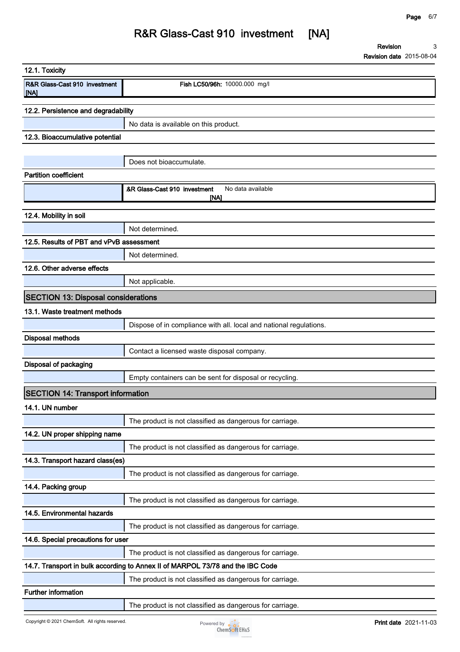**Revision Revision date 2015-08-04 3**

| 12.1. Toxicity                                   |                                                                                |
|--------------------------------------------------|--------------------------------------------------------------------------------|
| <b>R&amp;R Glass-Cast 910 investment</b><br>[NA] | Fish LC50/96h: 10000.000 mg/l                                                  |
| 12.2. Persistence and degradability              |                                                                                |
|                                                  | No data is available on this product.                                          |
| 12.3. Bioaccumulative potential                  |                                                                                |
|                                                  |                                                                                |
|                                                  | Does not bioaccumulate.                                                        |
| <b>Partition coefficient</b>                     |                                                                                |
|                                                  | &R Glass-Cast 910 investment<br>No data available<br><b>INA1</b>               |
| 12.4. Mobility in soil                           |                                                                                |
|                                                  | Not determined.                                                                |
| 12.5. Results of PBT and vPvB assessment         |                                                                                |
|                                                  | Not determined.                                                                |
| 12.6. Other adverse effects                      |                                                                                |
|                                                  | Not applicable.                                                                |
| <b>SECTION 13: Disposal considerations</b>       |                                                                                |
| 13.1. Waste treatment methods                    |                                                                                |
|                                                  | Dispose of in compliance with all. local and national regulations.             |
| <b>Disposal methods</b>                          |                                                                                |
|                                                  | Contact a licensed waste disposal company.                                     |
| <b>Disposal of packaging</b>                     |                                                                                |
|                                                  | Empty containers can be sent for disposal or recycling.                        |
| <b>SECTION 14: Transport information</b>         |                                                                                |
| 14.1. UN number                                  |                                                                                |
|                                                  | The product is not classified as dangerous for carriage.                       |
| 14.2. UN proper shipping name                    |                                                                                |
|                                                  | The product is not classified as dangerous for carriage.                       |
| 14.3. Transport hazard class(es)                 |                                                                                |
|                                                  | The product is not classified as dangerous for carriage.                       |
| 14.4. Packing group                              |                                                                                |
|                                                  | The product is not classified as dangerous for carriage.                       |
| 14.5. Environmental hazards                      |                                                                                |
|                                                  | The product is not classified as dangerous for carriage.                       |
| 14.6. Special precautions for user               |                                                                                |
|                                                  | The product is not classified as dangerous for carriage.                       |
|                                                  | 14.7. Transport in bulk according to Annex II of MARPOL 73/78 and the IBC Code |
|                                                  | The product is not classified as dangerous for carriage.                       |
| Further information                              |                                                                                |
|                                                  | The product is not classified as dangerous for carriage.                       |